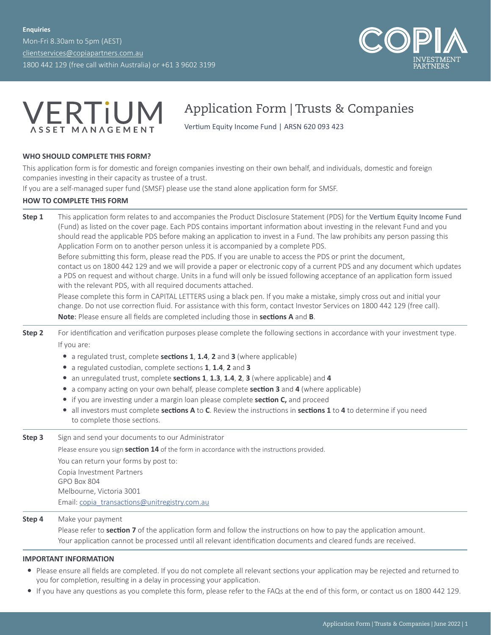Mon-Fri 8.30am to 5pm (AEST) [clientservices@copiapartners.com.au](mailto:clientservices%40copiapartners.com.au?subject=) 1800 442 129 (free call within Australia) or +61 3 9602 3199





## Application Form | Trusts & Companies

Vertium Equity Income Fund | ARSN 620 093 423

### **WHO SHOULD COMPLETE THIS FORM?**

This application form is for domestic and foreign companies investing on their own behalf, and individuals, domestic and foreign companies investing in their capacity as trustee of a trust.

If you are a self-managed super fund (SMSF) please use the stand alone application form for SMSF.

### **HOW TO COMPLETE THIS FORM**

**Step 1** This application form relates to and accompanies the Product Disclosure Statement (PDS) for the Vertium Equity Income Fund (Fund) as listed on the cover page. Each PDS contains important information about investing in the relevant Fund and you should read the applicable PDS before making an application to invest in a Fund. The law prohibits any person passing this Application Form on to another person unless it is accompanied by a complete PDS.

Before submitting this form, please read the PDS. If you are unable to access the PDS or print the document, contact us on 1800 442 129 and we will provide a paper or electronic copy of a current PDS and any document which updates a PDS on request and without charge. Units in a fund will only be issued following acceptance of an application form issued with the relevant PDS, with all required documents attached.

Please complete this form in CAPITAL LETTERS using a black pen. If you make a mistake, simply cross out and initial your change. Do not use correction fluid. For assistance with this form, contact Investor Services on 1800 442 129 (free call). **Note**: Please ensure all fields are completed including those in **sections A** and **B**.

- **Step 2** For identification and verification purposes please complete the following sections in accordance with your investment type. If you are:
	- y a regulated trust, complete **sections 1**, **1.4**, **2** and **3** (where applicable)
	- y a regulated custodian, complete sections **1**, **1.4**, **2** and **3**
	- y an unregulated trust, complete **sections 1**, **1.3**, **1.4**, **2**, **3** (where applicable) and **4**
	- a company acting on your own behalf, please complete **section 3** and 4 (where applicable)
	- if you are investing under a margin loan please complete **section C**, and proceed
	- y all investors must complete **sections A** to **C**. Review the instructions in **sections 1** to **4** to determine if you need to complete those sections.
- **Step 3** Sign and send your documents to our Administrator Please ensure you sign **section 14** of the form in accordance with the instructions provided. You can return your forms by post to: Copia Investment Partners GPO Box 804 Melbourne, Victoria 3001 Email: [copia\\_transactions@unitregistry.com.au](mailto:copia_transactions%40unitregistry.com.au?subject=)

**Step 4** Make your payment

Please refer to **section 7** of the application form and follow the instructions on how to pay the application amount. Your application cannot be processed until all relevant identification documents and cleared funds are received.

#### **IMPORTANT INFORMATION**

- Please ensure all fields are completed. If you do not complete all relevant sections your application may be rejected and returned to you for completion, resulting in a delay in processing your application.
- y If you have any questions as you complete this form, please refer to the FAQs at the end of this form, or contact us on 1800 442 129.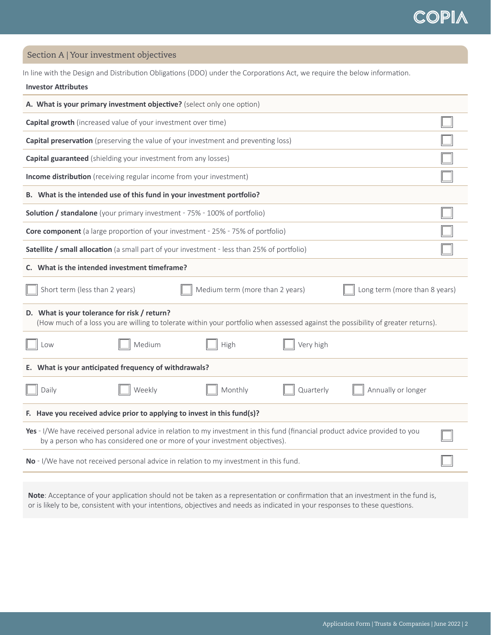Section A | Your investment objectives

In line with the Design and Distribution Obligations (DDO) under the Corporations Act, we require the below information.

#### **Investor Attributes**

| A. What is your primary investment objective? (select only one option)                                                                                                                                     |  |  |  |  |  |
|------------------------------------------------------------------------------------------------------------------------------------------------------------------------------------------------------------|--|--|--|--|--|
| Capital growth (increased value of your investment over time)                                                                                                                                              |  |  |  |  |  |
| <b>Capital preservation</b> (preserving the value of your investment and preventing loss)                                                                                                                  |  |  |  |  |  |
| <b>Capital guaranteed</b> (shielding your investment from any losses)                                                                                                                                      |  |  |  |  |  |
| Income distribution (receiving regular income from your investment)                                                                                                                                        |  |  |  |  |  |
| B. What is the intended use of this fund in your investment portfolio?                                                                                                                                     |  |  |  |  |  |
| <b>Solution / standalone</b> (your primary investment - 75% - 100% of portfolio)                                                                                                                           |  |  |  |  |  |
| <b>Core component</b> (a large proportion of your investment - 25% - 75% of portfolio)                                                                                                                     |  |  |  |  |  |
| Satellite / small allocation (a small part of your investment - less than 25% of portfolio)                                                                                                                |  |  |  |  |  |
| C. What is the intended investment timeframe?                                                                                                                                                              |  |  |  |  |  |
| Short term (less than 2 years)<br>Medium term (more than 2 years)<br>Long term (more than 8 years)                                                                                                         |  |  |  |  |  |
| D. What is your tolerance for risk / return?<br>(How much of a loss you are willing to tolerate within your portfolio when assessed against the possibility of greater returns).                           |  |  |  |  |  |
| Medium<br>Very high<br>High<br>Low                                                                                                                                                                         |  |  |  |  |  |
| E. What is your anticipated frequency of withdrawals?                                                                                                                                                      |  |  |  |  |  |
| Weekly<br>Monthly<br>Annually or longer<br>Daily<br>Quarterly                                                                                                                                              |  |  |  |  |  |
| F. Have you received advice prior to applying to invest in this fund(s)?                                                                                                                                   |  |  |  |  |  |
| Yes - I/We have received personal advice in relation to my investment in this fund (financial product advice provided to you<br>by a person who has considered one or more of your investment objectives). |  |  |  |  |  |
| No - I/We have not received personal advice in relation to my investment in this fund.                                                                                                                     |  |  |  |  |  |
|                                                                                                                                                                                                            |  |  |  |  |  |

**Note**: Acceptance of your application should not be taken as a representation or confirmation that an investment in the fund is, or is likely to be, consistent with your intentions, objectives and needs as indicated in your responses to these questions.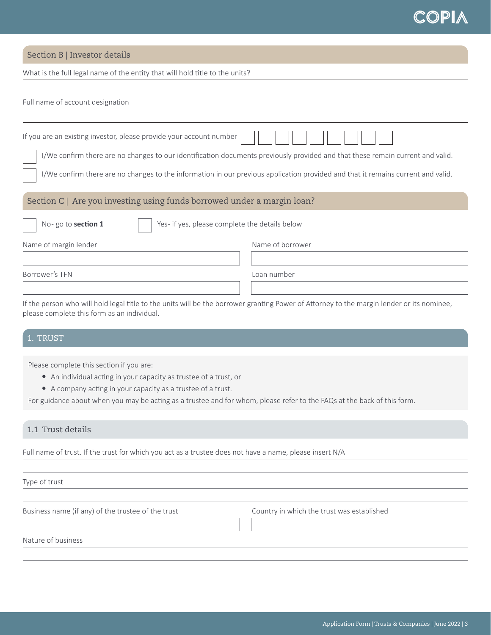## Section B | Investor details

Г

What is the full legal name of the entity that will hold title to the units?

| Full name of account designation                                        |                                                                                                                                  |  |  |  |  |
|-------------------------------------------------------------------------|----------------------------------------------------------------------------------------------------------------------------------|--|--|--|--|
|                                                                         |                                                                                                                                  |  |  |  |  |
| If you are an existing investor, please provide your account number     |                                                                                                                                  |  |  |  |  |
|                                                                         | I/We confirm there are no changes to our identification documents previously provided and that these remain current and valid.   |  |  |  |  |
|                                                                         | I/We confirm there are no changes to the information in our previous application provided and that it remains current and valid. |  |  |  |  |
| Section C   Are you investing using funds borrowed under a margin loan? |                                                                                                                                  |  |  |  |  |
| No-go to section 1<br>Yes- if yes, please complete the details below    |                                                                                                                                  |  |  |  |  |
| Name of borrower<br>Name of margin lender                               |                                                                                                                                  |  |  |  |  |
|                                                                         |                                                                                                                                  |  |  |  |  |
| Loan number<br>Borrower's TFN                                           |                                                                                                                                  |  |  |  |  |
|                                                                         |                                                                                                                                  |  |  |  |  |

If the person who will hold legal title to the units will be the borrower granting Power of Attorney to the margin lender or its nominee, please complete this form as an individual.

## 1. TRUST

Please complete this section if you are:

- An individual acting in your capacity as trustee of a trust, or
- A company acting in your capacity as a trustee of a trust.

For guidance about when you may be acting as a trustee and for whom, please refer to the FAQs at the back of this form.

### 1.1 Trust details

Full name of trust. If the trust for which you act as a trustee does not have a name, please insert N/A

Type of trust

Business name (if any) of the trustee of the trust Country in which the trust was established

Nature of business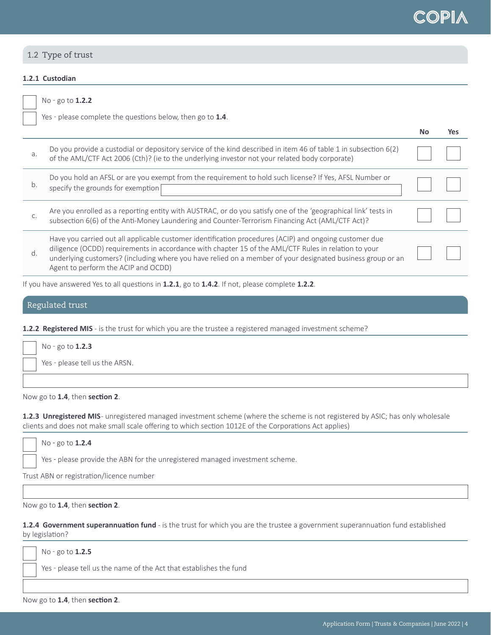

## 1.2 Type of trust

No � go to **1.2.2**

### **1.2.1 Custodian**

|    | Yes - please complete the questions below, then go to 1.4.                                                                                                                                                                                                                                                                                                          |    |     |
|----|---------------------------------------------------------------------------------------------------------------------------------------------------------------------------------------------------------------------------------------------------------------------------------------------------------------------------------------------------------------------|----|-----|
|    |                                                                                                                                                                                                                                                                                                                                                                     | No | Yes |
| a. | Do you provide a custodial or depository service of the kind described in item 46 of table 1 in subsection 6(2)<br>of the AML/CTF Act 2006 (Cth)? (ie to the underlying investor not your related body corporate)                                                                                                                                                   |    |     |
| b. | Do you hold an AFSL or are you exempt from the requirement to hold such license? If Yes, AFSL Number or<br>specify the grounds for exemption                                                                                                                                                                                                                        |    |     |
| C. | Are you enrolled as a reporting entity with AUSTRAC, or do you satisfy one of the 'geographical link' tests in<br>subsection 6(6) of the Anti-Money Laundering and Counter-Terrorism Financing Act (AML/CTF Act)?                                                                                                                                                   |    |     |
| d. | Have you carried out all applicable customer identification procedures (ACIP) and ongoing customer due<br>diligence (OCDD) requirements in accordance with chapter 15 of the AML/CTF Rules in relation to your<br>underlying customers? (including where you have relied on a member of your designated business group or an<br>Agent to perform the ACIP and OCDD) |    |     |
|    | If you have answered Yes to all questions in 1.2.1, go to 1.4.2. If not, please complete 1.2.2.                                                                                                                                                                                                                                                                     |    |     |

#### Regulated trust

**1.2.2 Registered MIS** - is the trust for which you are the trustee a registered managed investment scheme?

| No - go to $1.2.3$             |
|--------------------------------|
| Yes - please tell us the ARSN. |
|                                |

Now go to **1.4**, then **section 2**.

1.2.3 Unregistered MIS- unregistered managed investment scheme (where the scheme is not registered by ASIC; has only wholesale clients and does not make small scale offering to which section 1012E of the Corporations Act applies)

No - go to **1.2.4**

Yes - please provide the ABN for the unregistered managed investment scheme.

Trust ABN or registration/licence number

Now go to **1.4**, then **section 2**.

**1.2.4 Government superannuation fund** - is the trust for which you are the trustee a government superannuation fund established by legislation?

No � go to **1.2.5**

Yes - please tell us the name of the Act that establishes the fund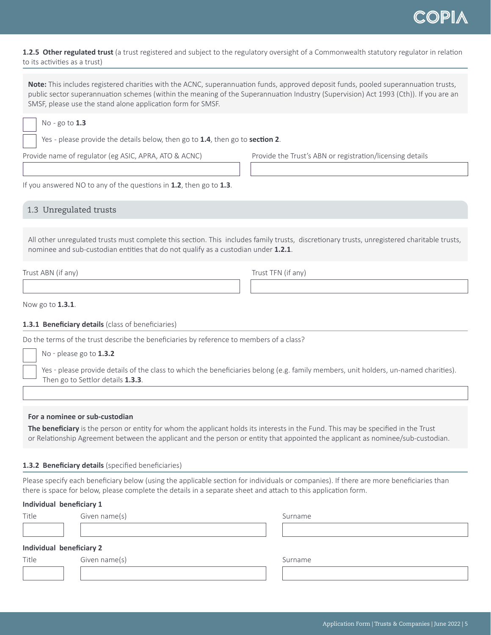**1.2.5 Other regulated trust** (a trust registered and subject to the regulatory oversight of a Commonwealth statutory regulator in relation to its activities as a trust)

**Note:** This includes registered charities with the ACNC, superannuation funds, approved deposit funds, pooled superannuation trusts, public sector superannuation schemes (within the meaning of the Superannuation Industry (Supervision) Act 1993 (Cth)). If you are an SMSF, please use the stand alone application form for SMSF.

No - go to **1.3**

Yes - please provide the details below, then go to **1.4**, then go to **section 2**.

Provide name of regulator (eg ASIC, APRA, ATO & ACNC) Provide the Trust's ABN or registration/licensing details

If you answered NO to any of the questions in **1.2**, then go to **1.3**.

1.3 Unregulated trusts

All other unregulated trusts must complete this section. This includes family trusts, discretionary trusts, unregistered charitable trusts, nominee and sub-custodian entities that do not qualify as a custodian under **1.2.1**.

Trust ABN (if any) Trust TFN (if any)

Now go to **1.3.1**.

#### **1.3.1 Beneficiary details** (class of beneficiaries)

Do the terms of the trust describe the beneficiaries by reference to members of a class?

No � please go to **1.3.2**

Yes - please provide details of the class to which the beneficiaries belong (e.g. family members, unit holders, un-named charities). Then go to Settlor details **1.3.3**.

#### **For a nominee or sub-custodian**

**The beneficiary** is the person or entity for whom the applicant holds its interests in the Fund. This may be specified in the Trust or Relationship Agreement between the applicant and the person or entity that appointed the applicant as nominee/sub-custodian.

#### **1.3.2 Beneficiary details** (specified beneficiaries)

Please specify each beneficiary below (using the applicable section for individuals or companies). If there are more beneficiaries than there is space for below, please complete the details in a separate sheet and attach to this application form.

#### **Individual beneficiary 1**

|--|

Given name(s) Surname

### **Individual beneficiary 2**

Title Given name(s) Given name(s) Surname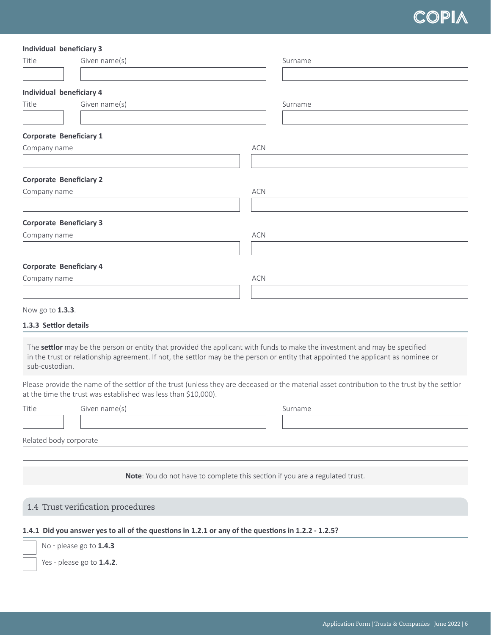#### **Individual beneficiary 3**

| Title            | Given name(s)                   |            | Surname |
|------------------|---------------------------------|------------|---------|
|                  |                                 |            |         |
|                  | <b>Individual beneficiary 4</b> |            |         |
| Title            | Given name(s)                   |            | Surname |
|                  |                                 |            |         |
|                  | <b>Corporate Beneficiary 1</b>  |            |         |
| Company name     |                                 | <b>ACN</b> |         |
|                  |                                 |            |         |
|                  | <b>Corporate Beneficiary 2</b>  |            |         |
| Company name     |                                 | ACN        |         |
|                  |                                 |            |         |
|                  | <b>Corporate Beneficiary 3</b>  |            |         |
| Company name     |                                 | ACN        |         |
|                  |                                 |            |         |
|                  | <b>Corporate Beneficiary 4</b>  |            |         |
| Company name     |                                 | ACN        |         |
|                  |                                 |            |         |
| Now go to 1.3.3. |                                 |            |         |

#### **1.3.3 Settlor details**

The **settlor** may be the person or entity that provided the applicant with funds to make the investment and may be specified in the trust or relationship agreement. If not, the settlor may be the person or entity that appointed the applicant as nominee or sub-custodian.

Please provide the name of the settlor of the trust (unless they are deceased or the material asset contribution to the trust by the settlor at the time the trust was established was less than \$10,000).

| Title | Given name(s)          | Surname |
|-------|------------------------|---------|
|       |                        |         |
|       | Related body corporate |         |
|       |                        |         |

**Note**: You do not have to complete this section if you are a regulated trust.

## 1.4 Trust verification procedures

#### **1.4.1 Did you answer yes to all of the questions in 1.2.1 or any of the questions in 1.2.2 - 1.2.5?**



Yes - please go to **1.4.2**.

No � please go to **1.4.3**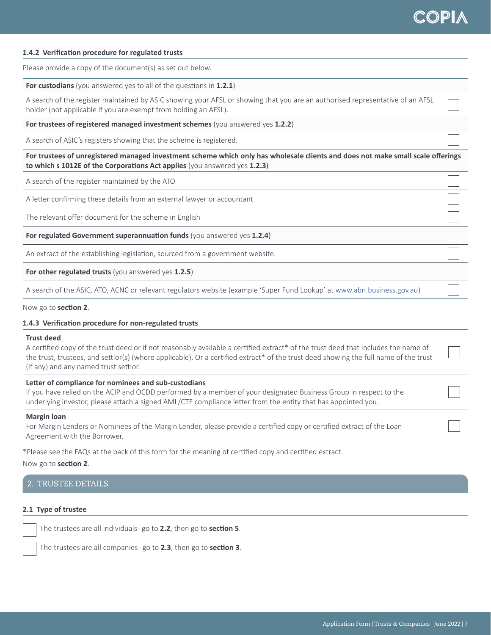

#### **1.4.2 Verification procedure for regulated trusts**

Please provide a copy of the document(s) as set out below.

**For custodians** (you answered yes to all of the questions in **1.2.1**)

A search of the register maintained by ASIC showing your AFSL or showing that you are an authorised representative of an AFSL holder (not applicable if you are exempt from holding an AFSL).

**For trustees of registered managed investment schemes** (you answered yes 1.2.2)

A search of ASIC's registers showing that the scheme is registered.

**For trustees of unregistered managed investment scheme which only has wholesale clients and does not make small scale offerings to which s 1012E of the Corporations Act applies** (you answered yes **1.2.3**)

A search of the register maintained by the ATO

A letter confirming these details from an external lawyer or accountant

The relevant offer document for the scheme in English

**For regulated Government superannuation funds** (you answered yes **1.2.4**)

An extract of the establishing legislation, sourced from a government website.

**For other regulated trusts** (you answered yes **1.2.5**)

A search of the ASIC, ATO, ACNC or relevant regulators website (example 'Super Fund Lookup' at [www.abn.business.gov.au](http://www.abn.business.gov.au))

Now go to **section 2**.

#### **1.4.3 Verification procedure for non-regulated trusts**

#### **Trust deed**

A certified copy of the trust deed or if not reasonably available a certified extract\* of the trust deed that includes the name of the trust, trustees, and settlor(s) (where applicable). Or a certified extract\* of the trust deed showing the full name of the trust (if any) and any named trust settlor.

#### **Letter of compliance for nominees and sub-custodians**

If you have relied on the ACIP and OCDD performed by a member of your designated Business Group in respect to the underlying investor, please attach a signed AML/CTF compliance letter from the entity that has appointed you.

#### **Margin loan**

For Margin Lenders or Nominees of the Margin Lender, please provide a certified copy or certified extract of the Loan Agreement with the Borrower.

\*Please see the FAQs at the back of this form for the meaning of certified copy and certified extract.

Now go to **section 2**.

#### 2. TRUSTEE DETAILS

#### **2.1 Type of trustee**

The trustees are all individuals - go to **2.2**, then go to **section 5**.

The trustees are all companies - go to **2.3**, then go to **section 3**.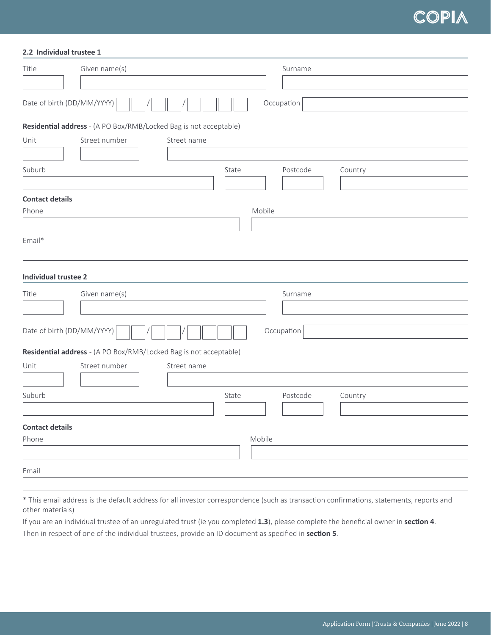#### **2.2 Individual trustee 1**

| Title                                    | Given name(s)                                                     |        | Surname    |         |  |
|------------------------------------------|-------------------------------------------------------------------|--------|------------|---------|--|
|                                          |                                                                   |        |            |         |  |
| Date of birth (DD/MM/YYYY)               |                                                                   |        | Occupation |         |  |
|                                          | Residential address - (A PO Box/RMB/Locked Bag is not acceptable) |        |            |         |  |
| Unit                                     | Street number<br>Street name                                      |        |            |         |  |
|                                          |                                                                   |        |            |         |  |
| Suburb                                   |                                                                   | State  | Postcode   | Country |  |
| <b>Contact details</b>                   |                                                                   |        |            |         |  |
| Phone                                    |                                                                   | Mobile |            |         |  |
|                                          |                                                                   |        |            |         |  |
| Email*                                   |                                                                   |        |            |         |  |
|                                          |                                                                   |        |            |         |  |
|                                          |                                                                   |        |            |         |  |
| <b>Individual trustee 2</b>              |                                                                   |        |            |         |  |
| Title                                    | Given name(s)                                                     |        | Surname    |         |  |
|                                          |                                                                   |        |            |         |  |
|                                          |                                                                   |        |            |         |  |
| Date of birth (DD/MM/YYYY)<br>Occupation |                                                                   |        |            |         |  |
|                                          | Residential address - (A PO Box/RMB/Locked Bag is not acceptable) |        |            |         |  |
| Unit                                     | Street number<br>Street name                                      |        |            |         |  |
|                                          |                                                                   |        |            |         |  |
| Suburb                                   |                                                                   | State  | Postcode   | Country |  |
|                                          |                                                                   |        |            |         |  |
|                                          |                                                                   |        |            |         |  |
| <b>Contact details</b>                   |                                                                   |        |            |         |  |
| Phone                                    |                                                                   | Mobile |            |         |  |
|                                          |                                                                   |        |            |         |  |
| Email                                    |                                                                   |        |            |         |  |
|                                          |                                                                   |        |            |         |  |

\* This email address is the default address for all investor correspondence (such as transaction confirmations, statements, reports and other materials)

If you are an individual trustee of an unregulated trust (ie you completed **1.3**), please complete the beneficial owner in **section 4**.

Then in respect of one of the individual trustees, provide an ID document as specified in **section 5**.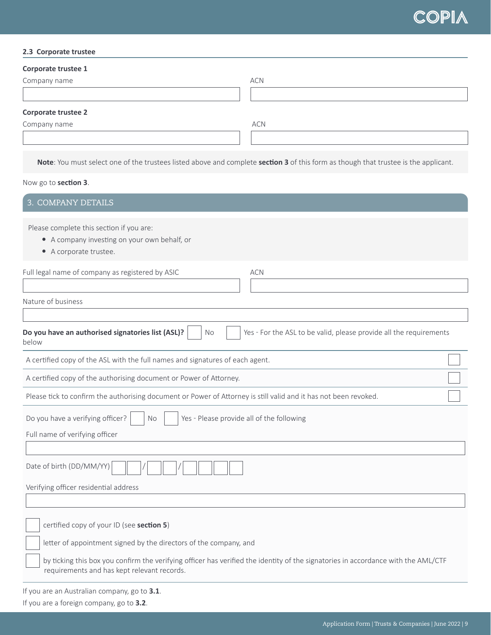#### **2.3 Corporate trustee**

| Corporate trustee 1 |            |
|---------------------|------------|
| Company name        | <b>ACN</b> |
|                     |            |
| Corporate trustee 2 |            |
| Company name        | <b>ACN</b> |
|                     |            |
|                     |            |

**Note**: You must select one of the trustees listed above and complete **section 3** of this form as though that trustee is the applicant.

## Now go to **section 3**.

| 3. COMPANY DETAILS                                                                                                                                                                                                                                                                                 |  |
|----------------------------------------------------------------------------------------------------------------------------------------------------------------------------------------------------------------------------------------------------------------------------------------------------|--|
| Please complete this section if you are:<br>• A company investing on your own behalf, or<br>• A corporate trustee.                                                                                                                                                                                 |  |
| Full legal name of company as registered by ASIC<br><b>ACN</b>                                                                                                                                                                                                                                     |  |
| Nature of business                                                                                                                                                                                                                                                                                 |  |
| Yes - For the ASL to be valid, please provide all the requirements<br>Do you have an authorised signatories list (ASL)?<br>No<br>below                                                                                                                                                             |  |
| A certified copy of the ASL with the full names and signatures of each agent.                                                                                                                                                                                                                      |  |
| A certified copy of the authorising document or Power of Attorney.                                                                                                                                                                                                                                 |  |
| Please tick to confirm the authorising document or Power of Attorney is still valid and it has not been revoked.                                                                                                                                                                                   |  |
| Do you have a verifying officer?<br>Yes - Please provide all of the following<br><b>No</b><br>Full name of verifying officer                                                                                                                                                                       |  |
|                                                                                                                                                                                                                                                                                                    |  |
| Date of birth (DD/MM/YY)                                                                                                                                                                                                                                                                           |  |
| Verifying officer residential address                                                                                                                                                                                                                                                              |  |
| certified copy of your ID (see section 5)<br>letter of appointment signed by the directors of the company, and<br>by ticking this box you confirm the verifying officer has verified the identity of the signatories in accordance with the AML/CTF<br>requirements and has kept relevant records. |  |
| If you are an Australian company, go to 3.1.                                                                                                                                                                                                                                                       |  |

If you are a foreign company, go to **3.2**.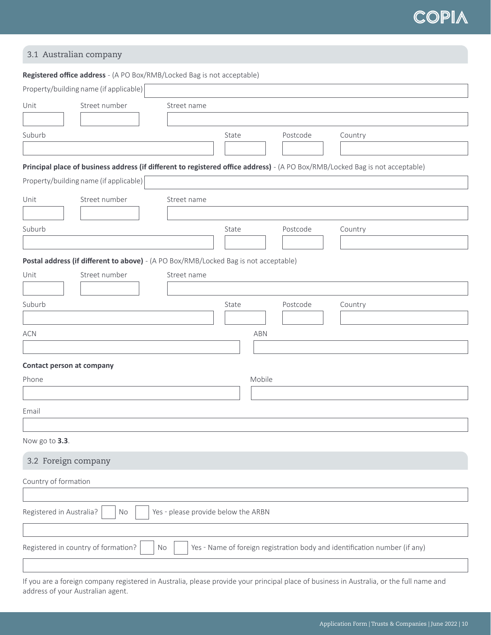## 3.1 Australian company

|                                        | Registered office address - (A PO Box/RMB/Locked Bag is not acceptable)                                                       |        |          |                                                                            |  |
|----------------------------------------|-------------------------------------------------------------------------------------------------------------------------------|--------|----------|----------------------------------------------------------------------------|--|
| Property/building name (if applicable) |                                                                                                                               |        |          |                                                                            |  |
| Street number<br>Unit                  | Street name                                                                                                                   |        |          |                                                                            |  |
|                                        |                                                                                                                               |        |          |                                                                            |  |
| Suburb                                 |                                                                                                                               | State  | Postcode | Country                                                                    |  |
|                                        |                                                                                                                               |        |          |                                                                            |  |
|                                        | Principal place of business address (if different to registered office address) - (A PO Box/RMB/Locked Bag is not acceptable) |        |          |                                                                            |  |
| Property/building name (if applicable) |                                                                                                                               |        |          |                                                                            |  |
| Street number<br>Unit                  | Street name                                                                                                                   |        |          |                                                                            |  |
|                                        |                                                                                                                               |        |          |                                                                            |  |
| Suburb                                 |                                                                                                                               | State  | Postcode | Country                                                                    |  |
|                                        |                                                                                                                               |        |          |                                                                            |  |
|                                        | Postal address (if different to above) - (A PO Box/RMB/Locked Bag is not acceptable)                                          |        |          |                                                                            |  |
| Street number<br>Unit                  | Street name                                                                                                                   |        |          |                                                                            |  |
|                                        |                                                                                                                               |        |          |                                                                            |  |
| Suburb                                 |                                                                                                                               | State  | Postcode | Country                                                                    |  |
|                                        |                                                                                                                               |        |          |                                                                            |  |
| <b>ACN</b>                             |                                                                                                                               | ABN    |          |                                                                            |  |
|                                        |                                                                                                                               |        |          |                                                                            |  |
| Contact person at company              |                                                                                                                               |        |          |                                                                            |  |
| Phone                                  |                                                                                                                               | Mobile |          |                                                                            |  |
|                                        |                                                                                                                               |        |          |                                                                            |  |
| Email                                  |                                                                                                                               |        |          |                                                                            |  |
|                                        |                                                                                                                               |        |          |                                                                            |  |
| Now go to 3.3.                         |                                                                                                                               |        |          |                                                                            |  |
|                                        |                                                                                                                               |        |          |                                                                            |  |
| 3.2 Foreign company                    |                                                                                                                               |        |          |                                                                            |  |
| Country of formation                   |                                                                                                                               |        |          |                                                                            |  |
|                                        |                                                                                                                               |        |          |                                                                            |  |
| Registered in Australia?               | Yes - please provide below the ARBN<br>No                                                                                     |        |          |                                                                            |  |
|                                        |                                                                                                                               |        |          |                                                                            |  |
| Registered in country of formation?    | No                                                                                                                            |        |          | Yes - Name of foreign registration body and identification number (if any) |  |
|                                        |                                                                                                                               |        |          |                                                                            |  |
|                                        | any registered in Australia, please provide your principal place of business in Australia                                     |        |          | or the full name and                                                       |  |

If you are a foreign company registered in Australia, please provide your principal place of business in Australia, or the full name and address of your Australian agent.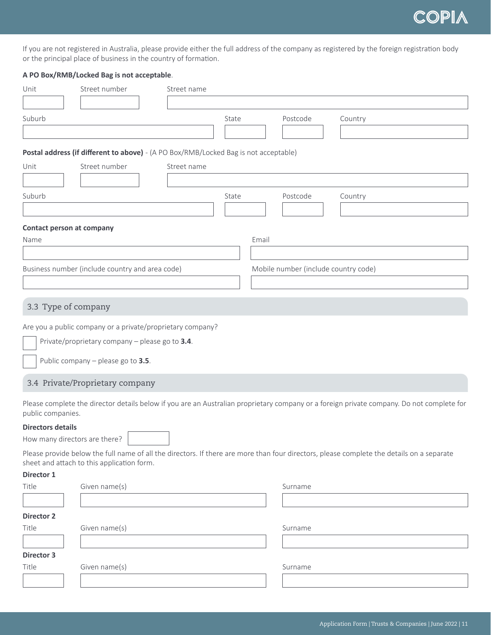

If you are not registered in Australia, please provide either the full address of the company as registered by the foreign registration body or the principal place of business in the country of formation.

### **A PO Box/RMB/Locked Bag is not acceptable**.

| Unit                                                      | Street number                                                                        | Street name |       |       |          |                                                                                                                                           |
|-----------------------------------------------------------|--------------------------------------------------------------------------------------|-------------|-------|-------|----------|-------------------------------------------------------------------------------------------------------------------------------------------|
|                                                           |                                                                                      |             |       |       |          |                                                                                                                                           |
| Suburb                                                    |                                                                                      |             | State |       | Postcode | Country                                                                                                                                   |
|                                                           |                                                                                      |             |       |       |          |                                                                                                                                           |
|                                                           | Postal address (if different to above) - (A PO Box/RMB/Locked Bag is not acceptable) |             |       |       |          |                                                                                                                                           |
| Unit                                                      | Street number                                                                        | Street name |       |       |          |                                                                                                                                           |
|                                                           |                                                                                      |             |       |       |          |                                                                                                                                           |
| Suburb                                                    |                                                                                      |             | State |       | Postcode | Country                                                                                                                                   |
|                                                           |                                                                                      |             |       |       |          |                                                                                                                                           |
| Contact person at company                                 |                                                                                      |             |       |       |          |                                                                                                                                           |
| Name                                                      |                                                                                      |             |       | Email |          |                                                                                                                                           |
|                                                           |                                                                                      |             |       |       |          |                                                                                                                                           |
|                                                           | Business number (include country and area code)                                      |             |       |       |          | Mobile number (include country code)                                                                                                      |
|                                                           |                                                                                      |             |       |       |          |                                                                                                                                           |
|                                                           |                                                                                      |             |       |       |          |                                                                                                                                           |
| 3.3 Type of company                                       |                                                                                      |             |       |       |          |                                                                                                                                           |
|                                                           | Are you a public company or a private/proprietary company?                           |             |       |       |          |                                                                                                                                           |
|                                                           | Private/proprietary company - please go to 3.4.                                      |             |       |       |          |                                                                                                                                           |
|                                                           | Public company - please go to 3.5.                                                   |             |       |       |          |                                                                                                                                           |
|                                                           | 3.4 Private/Proprietary company                                                      |             |       |       |          |                                                                                                                                           |
|                                                           |                                                                                      |             |       |       |          | Please complete the director details below if you are an Australian proprietary company or a foreign private company. Do not complete for |
| public companies.                                         |                                                                                      |             |       |       |          |                                                                                                                                           |
| <b>Directors details</b><br>How many directors are there? |                                                                                      |             |       |       |          |                                                                                                                                           |
|                                                           |                                                                                      |             |       |       |          | Please provide below the full name of all the directors. If there are more than four directors, please complete the details on a separate |
|                                                           | sheet and attach to this application form.                                           |             |       |       |          |                                                                                                                                           |
| Director 1                                                |                                                                                      |             |       |       |          |                                                                                                                                           |
| Title                                                     | Given name(s)                                                                        |             |       |       | Surname  |                                                                                                                                           |
|                                                           |                                                                                      |             |       |       |          |                                                                                                                                           |
| <b>Director 2</b>                                         |                                                                                      |             |       |       |          |                                                                                                                                           |
| Title                                                     | Given name(s)                                                                        |             |       |       | Surname  |                                                                                                                                           |
|                                                           |                                                                                      |             |       |       |          |                                                                                                                                           |
| Director 3                                                |                                                                                      |             |       |       |          |                                                                                                                                           |

Title Given name(s) Given name(s) Surname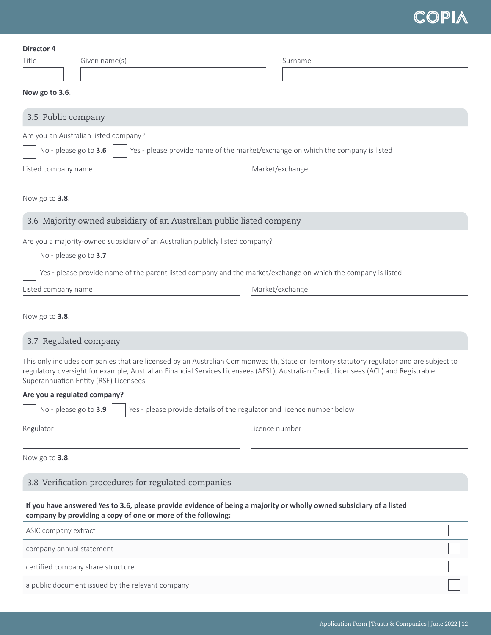| Director 4<br>Given name(s)<br>Title                                                                                                                                                                                                                                                                                     | Surname                                                                         |
|--------------------------------------------------------------------------------------------------------------------------------------------------------------------------------------------------------------------------------------------------------------------------------------------------------------------------|---------------------------------------------------------------------------------|
| Now go to 3.6.                                                                                                                                                                                                                                                                                                           |                                                                                 |
| 3.5 Public company                                                                                                                                                                                                                                                                                                       |                                                                                 |
| Are you an Australian listed company?                                                                                                                                                                                                                                                                                    |                                                                                 |
| No - please go to 3.6                                                                                                                                                                                                                                                                                                    | Yes - please provide name of the market/exchange on which the company is listed |
| Listed company name                                                                                                                                                                                                                                                                                                      | Market/exchange                                                                 |
|                                                                                                                                                                                                                                                                                                                          |                                                                                 |
| Now go to 3.8.                                                                                                                                                                                                                                                                                                           |                                                                                 |
| 3.6 Majority owned subsidiary of an Australian public listed company                                                                                                                                                                                                                                                     |                                                                                 |
| Are you a majority-owned subsidiary of an Australian publicly listed company?<br>No - please go to 3.7<br>Yes - please provide name of the parent listed company and the market/exchange on which the company is listed                                                                                                  |                                                                                 |
| Listed company name                                                                                                                                                                                                                                                                                                      | Market/exchange                                                                 |
|                                                                                                                                                                                                                                                                                                                          |                                                                                 |
| Now go to 3.8.                                                                                                                                                                                                                                                                                                           |                                                                                 |
| 3.7 Regulated company                                                                                                                                                                                                                                                                                                    |                                                                                 |
| This only includes companies that are licensed by an Australian Commonwealth, State or Territory statutory regulator and are subject to<br>regulatory oversight for example, Australian Financial Services Licensees (AFSL), Australian Credit Licensees (ACL) and Registrable<br>Superannuation Entity (RSE) Licensees. |                                                                                 |
| Are you a regulated company?                                                                                                                                                                                                                                                                                             |                                                                                 |
| No - please go to 3.9                                                                                                                                                                                                                                                                                                    | Yes - please provide details of the regulator and licence number below          |
| Regulator                                                                                                                                                                                                                                                                                                                | Licence number                                                                  |
|                                                                                                                                                                                                                                                                                                                          |                                                                                 |
| Now go to 3.8.                                                                                                                                                                                                                                                                                                           |                                                                                 |
| 3.8 Verification procedures for regulated companies                                                                                                                                                                                                                                                                      |                                                                                 |
| If you have answered Yes to 3.6, please provide evidence of being a majority or wholly owned subsidiary of a listed<br>company by providing a copy of one or more of the following:                                                                                                                                      |                                                                                 |

| ASIC company extract                             |  |
|--------------------------------------------------|--|
| company annual statement                         |  |
| certified company share structure                |  |
| a public document issued by the relevant company |  |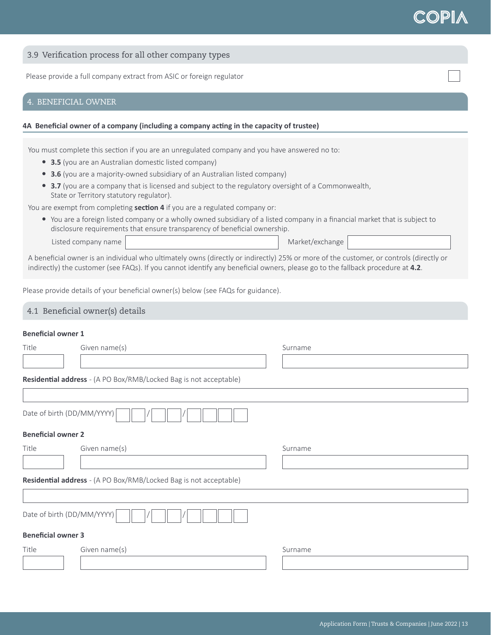|  |  |  |  |  |  | 3.9 Verification process for all other company types |  |
|--|--|--|--|--|--|------------------------------------------------------|--|
|--|--|--|--|--|--|------------------------------------------------------|--|

Please provide a full company extract from ASIC or foreign regulator

## 4. BENEFICIAL OWNER

#### **4A Beneficial owner of a company (including a company acting in the capacity of trustee)**

You must complete this section if you are an unregulated company and you have answered no to:

- 3.5 (you are an Australian domestic listed company)
- **3.6** (you are a majority-owned subsidiary of an Australian listed company)
- **3.7** (you are a company that is licensed and subject to the regulatory oversight of a Commonwealth, State or Territory statutory regulator).

You are exempt from completing **section 4** if you are a regulated company or:

• You are a foreign listed company or a wholly owned subsidiary of a listed company in a financial market that is subject to disclosure requirements that ensure transparency of beneficial ownership.

Listed company name Market/exchange Market/exchange

A beneficial owner is an individual who ultimately owns (directly or indirectly) 25% or more of the customer, or controls (directly or indirectly) the customer (see FAQs). If you cannot identify any beneficial owners, please go to the fallback procedure at **4.2**.

Please provide details of your beneficial owner(s) below (see FAQs for guidance).

#### 4.1 Beneficial owner(s) details

### **Beneficial owner 1**

| Title                     | Given name(s)                                                     | Surname |  |
|---------------------------|-------------------------------------------------------------------|---------|--|
|                           |                                                                   |         |  |
|                           | Residential address - (A PO Box/RMB/Locked Bag is not acceptable) |         |  |
|                           |                                                                   |         |  |
|                           | Date of birth (DD/MM/YYYY)                                        |         |  |
| <b>Beneficial owner 2</b> |                                                                   |         |  |
| Title                     | Given name(s)                                                     | Surname |  |
|                           |                                                                   |         |  |
|                           | Residential address - (A PO Box/RMB/Locked Bag is not acceptable) |         |  |
|                           |                                                                   |         |  |
|                           | Date of birth (DD/MM/YYYY)                                        |         |  |
| <b>Beneficial owner 3</b> |                                                                   |         |  |
| Title                     | Given name(s)                                                     | Surname |  |
|                           |                                                                   |         |  |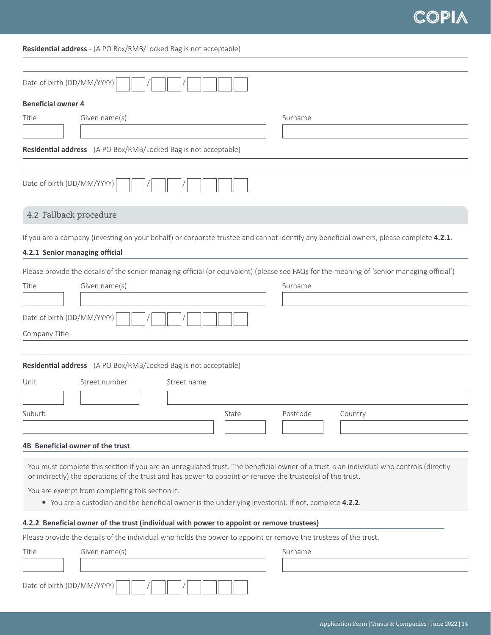## **Residential address** - (A PO Box/RMB/Locked Bag is not acceptable)

| Date of birth (DD/MM/YYYY)                                                                                                                 |  |
|--------------------------------------------------------------------------------------------------------------------------------------------|--|
| <b>Beneficial owner 4</b>                                                                                                                  |  |
| Title<br>Given name(s)<br>Surname                                                                                                          |  |
|                                                                                                                                            |  |
| Residential address - (A PO Box/RMB/Locked Bag is not acceptable)                                                                          |  |
|                                                                                                                                            |  |
| Date of birth (DD/MM/YYYY)                                                                                                                 |  |
| 4.2 Fallback procedure                                                                                                                     |  |
| If you are a company (investing on your behalf) or corporate trustee and cannot identify any beneficial owners, please complete 4.2.1.     |  |
| 4.2.1 Senior managing official                                                                                                             |  |
|                                                                                                                                            |  |
| Please provide the details of the senior managing official (or equivalent) (please see FAQs for the meaning of 'senior managing official') |  |
| Title<br>Given name(s)<br>Surname                                                                                                          |  |
| Date of birth (DD/MM/YYYY)                                                                                                                 |  |
| Company Title                                                                                                                              |  |
|                                                                                                                                            |  |
| Residential address - (A PO Box/RMB/Locked Bag is not acceptable)                                                                          |  |
| Street number<br>Unit<br>Street name                                                                                                       |  |
|                                                                                                                                            |  |
| Suburb<br>Postcode<br>State<br>Country                                                                                                     |  |
|                                                                                                                                            |  |
|                                                                                                                                            |  |
| 4B Beneficial owner of the trust                                                                                                           |  |
| You must complete this section if you are an unregulated trust. The beneficial owner of a trust is an individual who controls (directly    |  |
| or indirectly) the operations of the trust and has power to appoint or remove the trustee(s) of the trust.                                 |  |
| You are exempt from completing this section if:                                                                                            |  |
| • You are a custodian and the beneficial owner is the underlying investor(s). If not, complete 4.2.2.                                      |  |
| 4.2.2 Beneficial owner of the trust (individual with power to appoint or remove trustees)                                                  |  |
| Please provide the details of the individual who holds the power to appoint or remove the trustees of the trust.                           |  |
| Given name(s)<br>Title<br>Surname                                                                                                          |  |
|                                                                                                                                            |  |
| Date of birth (DD/MM/YYYY)                                                                                                                 |  |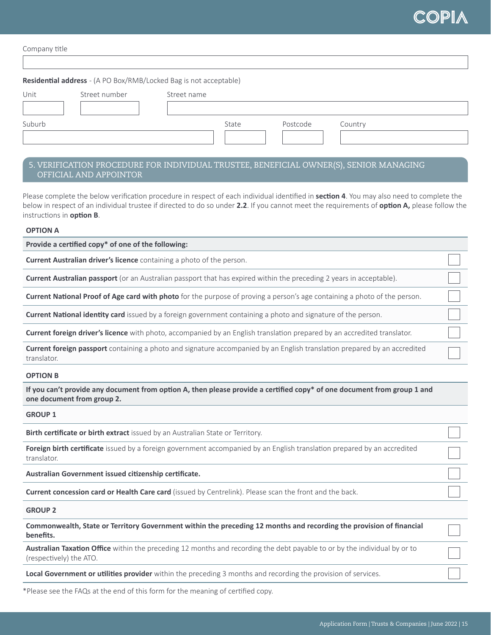

| Company title |                                                                   |             |       |          |         |  |
|---------------|-------------------------------------------------------------------|-------------|-------|----------|---------|--|
|               | Residential address - (A PO Box/RMB/Locked Bag is not acceptable) |             |       |          |         |  |
| Unit          | Street number                                                     | Street name |       |          |         |  |
| Suburb        |                                                                   |             | State | Postcode | Country |  |
|               |                                                                   |             |       |          |         |  |

## 5. VERIFICATION PROCEDURE FOR INDIVIDUAL TRUSTEE, BENEFICIAL OWNER(S), SENIOR MANAGING OFFICIAL AND APPOINTOR

Please complete the below verification procedure in respect of each individual identified in **section 4**. You may also need to complete the below in respect of an individual trustee if directed to do so under **2.2**. If you cannot meet the requirements of **option A,** please follow the instructions in **option B**.

#### **OPTION A**

**Provide a certified copy\* of one of the following:**

**Current Australian driver's licence** containing a photo of the person.

**Current Australian passport** (or an Australian passport that has expired within the preceding 2 years in acceptable).

**Current National Proof of Age card with photo** for the purpose of proving a person's age containing a photo of the person.

**Current National identity card** issued by a foreign government containing a photo and signature of the person.

**Current foreign driver's licence** with photo, accompanied by an English translation prepared by an accredited translator.

**Current foreign passport** containing a photo and signature accompanied by an English translation prepared by an accredited translator.

#### **OPTION B**

**If you can't provide any document from option A, then please provide a certified copy\* of one document from group 1 and one document from group 2.**

**GROUP 1**

**Birth certificate or birth extract** issued by an Australian State or Territory.

**Foreign birth certificate** issued by a foreign government accompanied by an English translation prepared by an accredited translator.

**Australian Government issued citizenship certificate.**

**Current concession card or Health Care card** (issued by Centrelink). Please scan the front and the back.

**GROUP 2**

**Commonwealth, State or Territory Government within the preceding 12 months and recording the provision of financial benefits.**

**Australian Taxation Office** within the preceding 12 months and recording the debt payable to or by the individual by or to (respectively) the ATO.

**Local Government or utilities provider** within the preceding 3 months and recording the provision of services.

\*Please see the FAQs at the end of this form for the meaning of certified copy.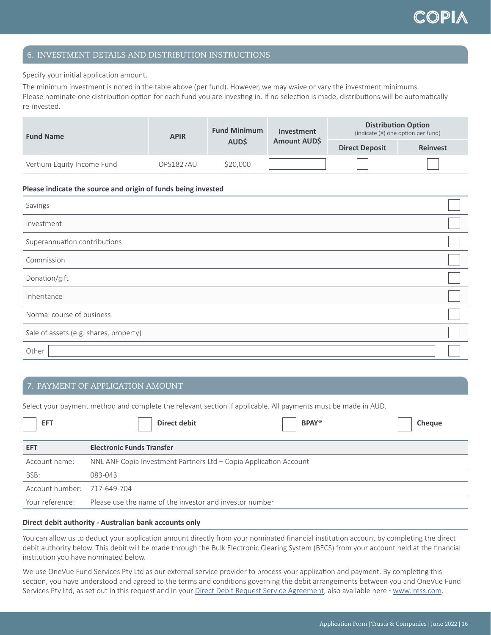## 6. INVESTMENT DETAILS AND DISTRIBUTION INSTRUCTIONS

Specify your initial application amount.

The minimum investment is noted in the table above (per fund). However, we may waive or vary the investment minimums. Please nominate one distribution option for each fund you are investing in. If no selection is made, distributions will be automatically re-invested.

| <b>Fund Name</b>           | <b>APIR</b> | <b>Fund Minimum</b><br><b>AUDS</b> | Investment<br>Amount AUD\$ | <b>Distribution Option</b><br>(indicate (X) one option per fund) |                 |
|----------------------------|-------------|------------------------------------|----------------------------|------------------------------------------------------------------|-----------------|
|                            |             |                                    |                            | <b>Direct Deposit</b>                                            | <b>Reinvest</b> |
| Vertium Equity Income Fund | OPS1827AU   | \$20,000                           |                            |                                                                  |                 |

#### **Please indicate the source and origin of funds being invested**

| Savings                                |  |
|----------------------------------------|--|
| Investment                             |  |
| Superannuation contributions           |  |
| Commission                             |  |
| Donation/gift                          |  |
| Inheritance                            |  |
| Normal course of business              |  |
| Sale of assets (e.g. shares, property) |  |
| Other                                  |  |

## 7. PAYMENT OF APPLICATION AMOUNT

Select your payment method and complete the relevant section if applicable. All payments must be made in AUD.

| <b>EFT</b>                  | <b>Direct debit</b><br><b>BPAY®</b><br>Cheque                     |  |  |  |
|-----------------------------|-------------------------------------------------------------------|--|--|--|
| <b>EFT</b>                  | <b>Electronic Funds Transfer</b>                                  |  |  |  |
| Account name:               | NNL ANF Copia Investment Partners Ltd - Copia Application Account |  |  |  |
| BSB:                        | 083-043                                                           |  |  |  |
| Account number: 717-649-704 |                                                                   |  |  |  |
| Your reference:             | Please use the name of the investor and investor number           |  |  |  |

#### **Direct debit authority - Australian bank accounts only**

You can allow us to deduct your application amount directly from your nominated financial institution account by completing the direct debit authority below. This debit will be made through the Bulk Electronic Clearing System (BECS) from your account held at the financial institution you have nominated below.

We use OneVue Fund Services Pty Ltd as our external service provider to process your application and payment. By completing this section, you have understood and agreed to the terms and conditions governing the debit arrangements between you and OneVue Fund Services Pty Ltd, as set out in this request and in your [Direct Debit Request Service Agreement](https://www.iress.com/media/documents/OneVue_Fund_Services_Direct_Debit_Request_Services_Agreement-Oct21.pdf), also available here - [www.iress.com.](http://www.iress.com)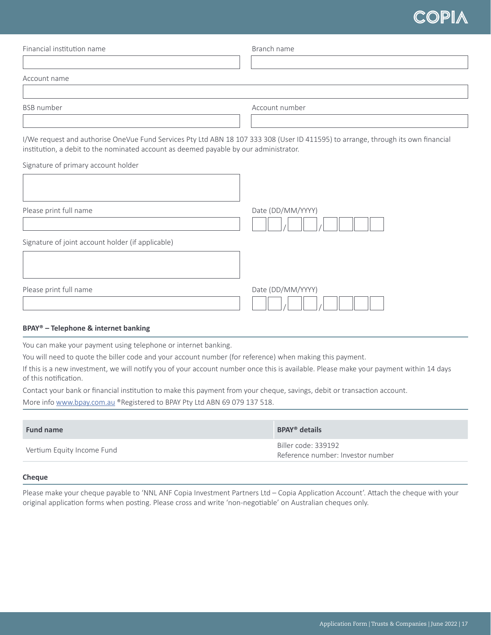| I/We request and authorise OneVue Fund Services Pty Ltd ABN 18 107 333 308 (User ID 411595) to arrange, through its own financial |
|-----------------------------------------------------------------------------------------------------------------------------------|
|                                                                                                                                   |
|                                                                                                                                   |
|                                                                                                                                   |
|                                                                                                                                   |
|                                                                                                                                   |
|                                                                                                                                   |
|                                                                                                                                   |

## **BPAY® – Telephone & internet banking**

You can make your payment using telephone or internet banking.

You will need to quote the biller code and your account number (for reference) when making this payment.

If this is a new investment, we will notify you of your account number once this is available. Please make your payment within 14 days of this notification.

Contact your bank or financial institution to make this payment from your cheque, savings, debit or transaction account.

More info [www.bpay.com.au](http://www.bpay.com.au) ®Registered to BPAY Pty Ltd ABN 69 079 137 518.

| <b>Fund name</b>           | <b>BPAY<sup>®</sup></b> details                          |
|----------------------------|----------------------------------------------------------|
| Vertium Equity Income Fund | Biller code: 339192<br>Reference number: Investor number |

#### **Cheque**

Please make your cheque payable to 'NNL ANF Copia Investment Partners Ltd – Copia Application Account'. Attach the cheque with your original application forms when posting. Please cross and write 'non-negotiable' on Australian cheques only.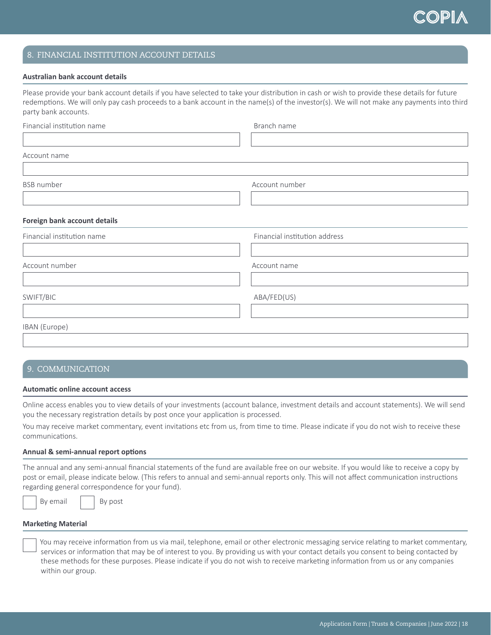## 8. FINANCIAL INSTITUTION ACCOUNT DETAILS

#### **Australian bank account details**

Please provide your bank account details if you have selected to take your distribution in cash or wish to provide these details for future redemptions. We will only pay cash proceeds to a bank account in the name(s) of the investor(s). We will not make any payments into third party bank accounts.

| Financial institution name   | Branch name                   |
|------------------------------|-------------------------------|
| Account name                 |                               |
| <b>BSB</b> number            | Account number                |
| Foreign bank account details |                               |
| Financial institution name   | Financial institution address |
| Account number               | Account name                  |
| SWIFT/BIC                    | ABA/FED(US)                   |
| IBAN (Europe)                |                               |
|                              |                               |

#### 9. COMMUNICATION

#### **Automatic online account access**

Online access enables you to view details of your investments (account balance, investment details and account statements). We will send you the necessary registration details by post once your application is processed.

You may receive market commentary, event invitations etc from us, from time to time. Please indicate if you do not wish to receive these communications.

#### **Annual & semi-annual report options**

The annual and any semi-annual financial statements of the fund are available free on our website. If you would like to receive a copy by post or email, please indicate below. (This refers to annual and semi-annual reports only. This will not affect communication instructions regarding general correspondence for your fund).

| By email |  | By post |
|----------|--|---------|
|----------|--|---------|

#### **Marketing Material**

 You may receive information from us via mail, telephone, email or other electronic messaging service relating to market commentary, services or information that may be of interest to you. By providing us with your contact details you consent to being contacted by these methods for these purposes. Please indicate if you do not wish to receive marketing information from us or any companies within our group.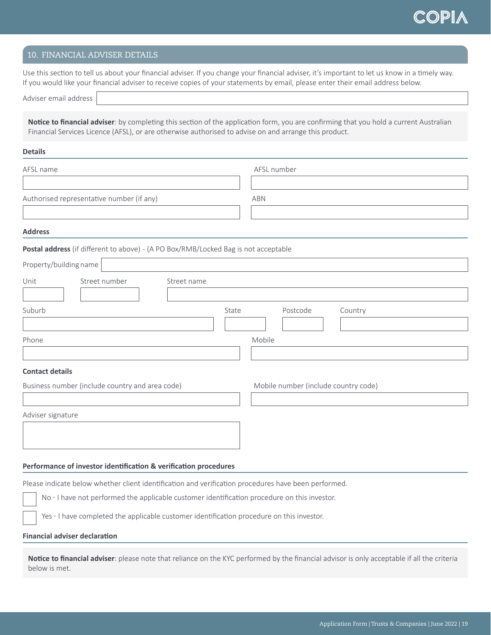### 10. FINANCIAL ADVISER DETAILS

Use this section to tell us about your financial adviser. If you change your financial adviser, it's important to let us know in a timely way. If you would like your financial adviser to receive copies of your statements by email, please enter their email address below.

**Notice to financial adviser**: by completing this section of the application form, you are confirming that you hold a current Australian Financial Services Licence (AFSL), or are otherwise authorised to advise on and arrange this product.

#### **Details**

| AFSL name                                                                                            |             | AFSL number                          |         |  |
|------------------------------------------------------------------------------------------------------|-------------|--------------------------------------|---------|--|
|                                                                                                      |             |                                      |         |  |
| Authorised representative number (if any)                                                            |             | <b>ABN</b>                           |         |  |
| <b>Address</b>                                                                                       |             |                                      |         |  |
| Postal address (if different to above) - (A PO Box/RMB/Locked Bag is not acceptable                  |             |                                      |         |  |
| Property/building name                                                                               |             |                                      |         |  |
| Street number<br>Unit                                                                                | Street name |                                      |         |  |
|                                                                                                      |             |                                      |         |  |
| Suburb                                                                                               | State       | Postcode                             | Country |  |
| Phone                                                                                                |             | Mobile                               |         |  |
|                                                                                                      |             |                                      |         |  |
| <b>Contact details</b>                                                                               |             |                                      |         |  |
| Business number (include country and area code)                                                      |             | Mobile number (include country code) |         |  |
|                                                                                                      |             |                                      |         |  |
| Adviser signature                                                                                    |             |                                      |         |  |
|                                                                                                      |             |                                      |         |  |
|                                                                                                      |             |                                      |         |  |
| Performance of investor identification & verification procedures                                     |             |                                      |         |  |
| Please indicate below whether client identification and verification procedures have been performed. |             |                                      |         |  |
| No - I have not performed the applicable customer identification procedure on this investor.         |             |                                      |         |  |
| Yes - I have completed the applicable customer identification procedure on this investor.            |             |                                      |         |  |
| <b>Financial adviser declaration</b>                                                                 |             |                                      |         |  |

**Notice to financial adviser**: please note that reliance on the KYC performed by the financial advisor is only acceptable if all the criteria below is met.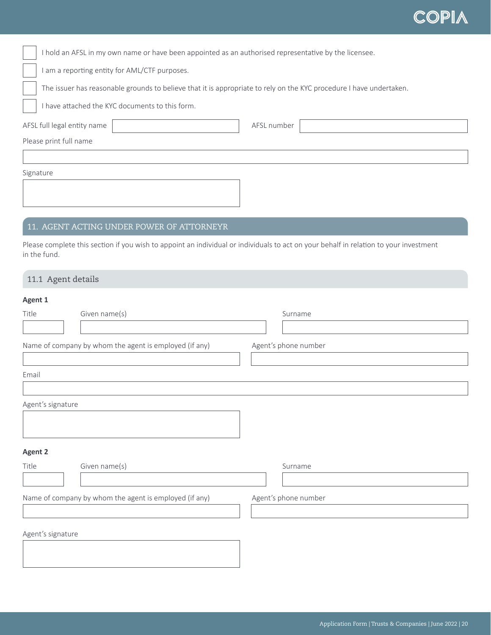|  | I hold an AFSL in my own name or have been appointed as an authorised representative by the licensee. |  |  |  |
|--|-------------------------------------------------------------------------------------------------------|--|--|--|
|--|-------------------------------------------------------------------------------------------------------|--|--|--|

I am a reporting entity for AML/CTF purposes.

The issuer has reasonable grounds to believe that it is appropriate to rely on the KYC procedure I have undertaken.

I have attached the KYC documents to this form.

| AFSL full legal entity name | AFSL number |
|-----------------------------|-------------|
| Please print full name      |             |
|                             |             |

Signature

## 11. AGENT ACTING UNDER POWER OF ATTORNEYR

Please complete this section if you wish to appoint an individual or individuals to act on your behalf in relation to your investment in the fund.

### 11.1 Agent details

## **Agent 1**

| . .o- -           |                                                        |                      |
|-------------------|--------------------------------------------------------|----------------------|
| Title             | Given name(s)                                          | Surname              |
|                   |                                                        |                      |
|                   | Name of company by whom the agent is employed (if any) | Agent's phone number |
| Email             |                                                        |                      |
| Agent's signature |                                                        |                      |
| <b>Agent 2</b>    |                                                        |                      |
| Title             | Given name(s)                                          | Surname              |
|                   |                                                        |                      |
|                   | Name of company by whom the agent is employed (if any) | Agent's phone number |
|                   |                                                        |                      |
| Agent's signature |                                                        |                      |
|                   |                                                        |                      |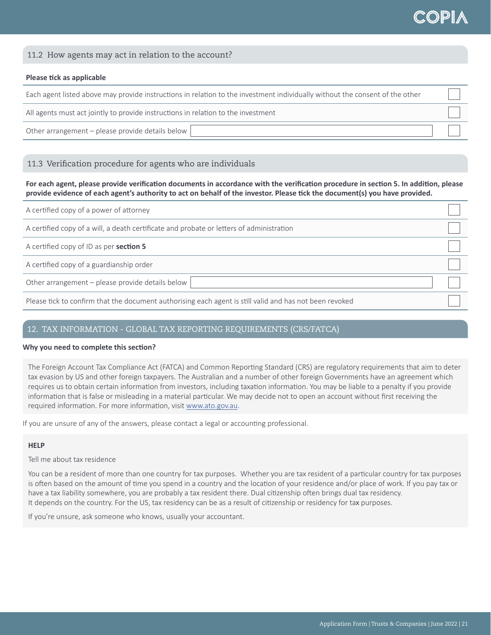## 11.2 How agents may act in relation to the account?

#### **Please tick as applicable**

Each agent listed above may provide instructions in relation to the investment individually without the consent of the other

All agents must act jointly to provide instructions in relation to the investment

Other arrangement – please provide details below

## 11.3 Verification procedure for agents who are individuals

**For each agent, please provide verification documents in accordance with the verification procedure in section 5. In addition, please provide evidence of each agent's authority to act on behalf of the investor. Please tick the document(s) you have provided.** 

| A certified copy of a power of attorney                                                                 |  |
|---------------------------------------------------------------------------------------------------------|--|
| A certified copy of a will, a death certificate and probate or letters of administration                |  |
| A certified copy of ID as per section 5                                                                 |  |
| A certified copy of a guardianship order                                                                |  |
| Other arrangement - please provide details below                                                        |  |
| Please tick to confirm that the document authorising each agent is still valid and has not been revoked |  |

### 12. TAX INFORMATION - GLOBAL TAX REPORTING REQUIREMENTS (CRS/FATCA)

#### **Why you need to complete this section?**

The Foreign Account Tax Compliance Act (FATCA) and Common Reporting Standard (CRS) are regulatory requirements that aim to deter tax evasion by US and other foreign taxpayers. The Australian and a number of other foreign Governments have an agreement which requires us to obtain certain information from investors, including taxation information. You may be liable to a penalty if you provide information that is false or misleading in a material particular. We may decide not to open an account without first receiving the required information. For more information, visit [www.ato.gov.au](http://www.ato.gov.au).

If you are unsure of any of the answers, please contact a legal or accounting professional.

#### **HELP**

Tell me about tax residence

You can be a resident of more than one country for tax purposes. Whether you are tax resident of a particular country for tax purposes is often based on the amount of time you spend in a country and the location of your residence and/or place of work. If you pay tax or have a tax liability somewhere, you are probably a tax resident there. Dual citizenship often brings dual tax residency. It depends on the country. For the US, tax residency can be as a result of citizenship or residency for tax purposes.

If you're unsure, ask someone who knows, usually your accountant.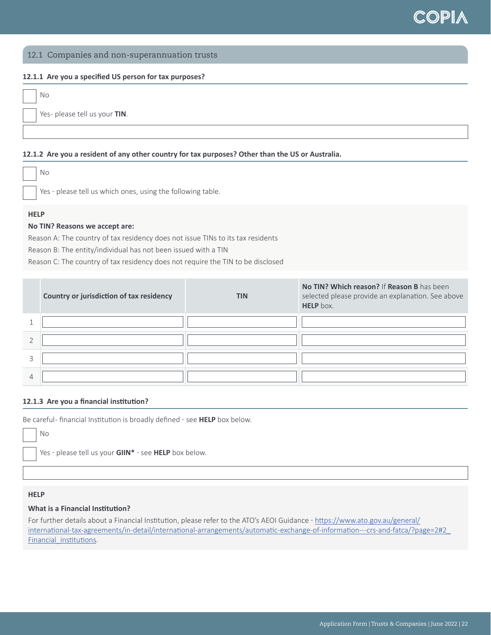### 12.1 Companies and non-superannuation trusts

#### **12.1.1 Are you a specified US person for tax purposes?**

| No                           |
|------------------------------|
| Yes-please tell us your TIN. |
|                              |

#### **12.1.2 Are you a resident of any other country for tax purposes? Other than the US or Australia.**

Yes - please tell us which ones, using the following table.

## **HELP**

#### **No TIN? Reasons we accept are:**

Reason A: The country of tax residency does not issue TINs to its tax residents Reason B: The entity/individual has not been issued with a TIN Reason C: The country of tax residency does not require the TIN to be disclosed

|   | Country or jurisdiction of tax residency | <b>TIN</b> | No TIN? Which reason? If Reason B has been<br>selected please provide an explanation. See above<br>HELP box. |
|---|------------------------------------------|------------|--------------------------------------------------------------------------------------------------------------|
|   |                                          |            |                                                                                                              |
|   |                                          |            |                                                                                                              |
|   |                                          |            |                                                                                                              |
| 4 |                                          |            |                                                                                                              |

#### **12.1.3 Are you a financial institution?**

Be careful- financial Institution is broadly defined - see HELP box below.

Yes - please tell us your **GIIN\*** - see HELP box below.

#### **HELP**

No

### **What is a Financial Institution?**

For further details about a Financial Institution, please refer to the ATO's AEOI Guidance - [https://www.ato.gov.au/general/](https://www.ato.gov.au/general/international-tax-agreements/in-detail/international-arrangements/automatic-exchange-of-information---crs-and-fatca/?page=2#2_Financial_institutions) [international-tax-agreements/in-detail/international-arrangements/automatic-exchange-of-information---crs-and-fatca/?page=2#2\\_](https://www.ato.gov.au/general/international-tax-agreements/in-detail/international-arrangements/automatic-exchange-of-information---crs-and-fatca/?page=2#2_Financial_institutions) Financial institutions.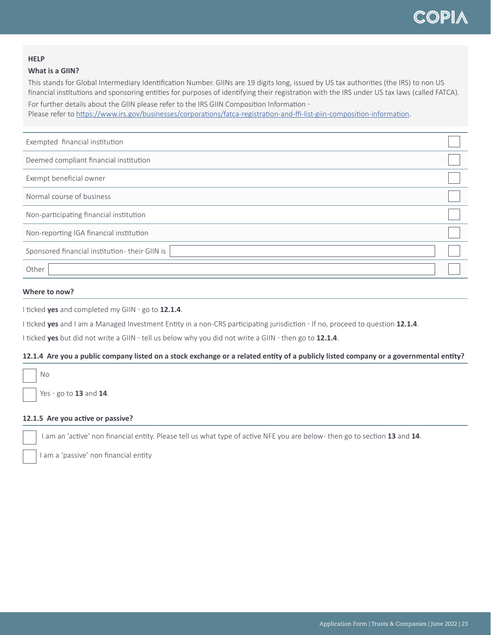#### **HELP**

#### **What is a GIIN?**

This stands for Global Intermediary Identification Number. GIINs are 19 digits long, issued by US tax authorities (the IRS) to non US financial institutions and sponsoring entities for purposes of identifying their registration with the IRS under US tax laws (called FATCA).

For further details about the GIIN please refer to the IRS GIIN Composition Information -Please refer to <https://www.irs.gov/businesses/corporations/fatca-registration-and-ffi-list-giin-composition-information>.

| Exempted financial institution                |  |
|-----------------------------------------------|--|
| Deemed compliant financial institution        |  |
| Exempt beneficial owner                       |  |
| Normal course of business                     |  |
| Non-participating financial institution       |  |
| Non-reporting IGA financial institution       |  |
| Sponsored financial institution-their GIIN is |  |
| Other                                         |  |

## **Where to now?**

I ticked **yes** and completed my GIIN - go to 12.1.4.

I ticked **yes** and I am a Managed Investment Entity in a non-CRS participating jurisdiction � If no, proceed to question **12.1.4**.

I ticked **yes** but did not write a GIIN - tell us below why you did not write a GIIN - then go to 12.1.4.

#### **12.1.4 Are you a public company listed on a stock exchange or a related entity of a publicly listed company or a governmental entity?**

No

Yes � go to **13** and **14**.

## **12.1.5 Are you active or passive?**

I am an 'active' non financial entity. Please tell us what type of active NFE you are below - then go to section **13** and **14**.

I am a 'passive' non financial entity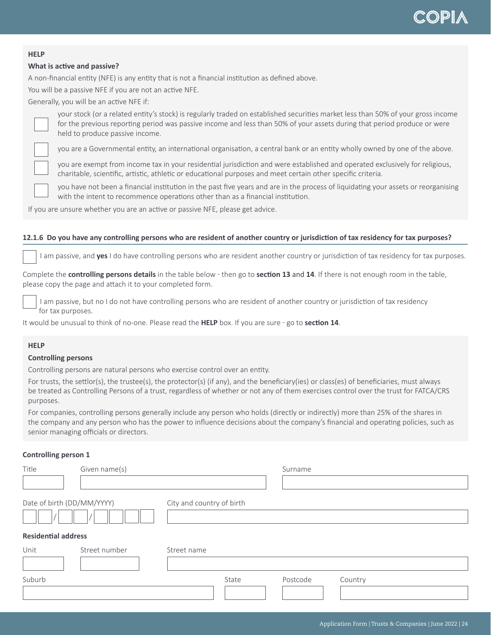#### **HELP**

## **What is active and passive?**

A non-financial entity (NFE) is any entity that is not a financial institution as defined above.

You will be a passive NFE if you are not an active NFE.

Generally, you will be an active NFE if:



your stock (or a related entity's stock) is regularly traded on established securities market less than 50% of your gross income for the previous reporting period was passive income and less than 50% of your assets during that period produce or were held to produce passive income.

you are a Governmental entity, an international organisation, a central bank or an entity wholly owned by one of the above.

you are exempt from income tax in your residential jurisdiction and were established and operated exclusively for religious, charitable, scientific, artistic, athletic or educational purposes and meet certain other specific criteria.

you have not been a financial institution in the past five years and are in the process of liquidating your assets or reorganising with the intent to recommence operations other than as a financial institution.

If you are unsure whether you are an active or passive NFE, please get advice.

#### **12.1.6 Do you have any controlling persons who are resident of another country or jurisdiction of tax residency for tax purposes?**

I am passive, and **yes** I do have controlling persons who are resident another country or jurisdiction of tax residency for tax purposes.

Complete the **controlling persons details** in the table below � then go to **section 13** and **14**. If there is not enough room in the table, please copy the page and attach it to your completed form.

 I am passive, but no I do not have controlling persons who are resident of another country or jurisdiction of tax residency for tax purposes.

It would be unusual to think of no-one. Please read the **HELP** box. If you are sure � go to **section 14**.

### **HELP**

#### **Controlling persons**

Controlling persons are natural persons who exercise control over an entity.

For trusts, the settlor(s), the trustee(s), the protector(s) (if any), and the beneficiary(ies) or class(es) of beneficiaries, must always be treated as Controlling Persons of a trust, regardless of whether or not any of them exercises control over the trust for FATCA/CRS purposes.

For companies, controlling persons generally include any person who holds (directly or indirectly) more than 25% of the shares in the company and any person who has the power to influence decisions about the company's financial and operating policies, such as senior managing officials or directors.

#### **Controlling person 1**

| Title                      | Given name(s)              |                           |       | Surname  |         |
|----------------------------|----------------------------|---------------------------|-------|----------|---------|
|                            |                            |                           |       |          |         |
| Date of birth (DD/MM/YYYY) |                            | City and country of birth |       |          |         |
|                            | <b>Residential address</b> |                           |       |          |         |
| Unit                       | Street number              | Street name               |       |          |         |
| Suburb                     |                            |                           | State | Postcode | Country |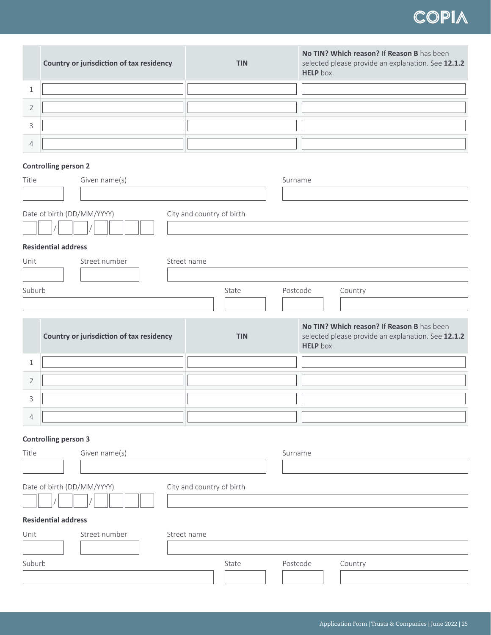|   | Country or jurisdiction of tax residency | <b>TIN</b> | No TIN? Which reason? If Reason B has been<br>selected please provide an explanation. See 12.1.2<br><b>HELP</b> box. |
|---|------------------------------------------|------------|----------------------------------------------------------------------------------------------------------------------|
|   |                                          |            |                                                                                                                      |
|   |                                          |            |                                                                                                                      |
|   |                                          |            |                                                                                                                      |
| 4 |                                          |            |                                                                                                                      |

## **Controlling person 2**

| Title                                                   | Given name(s)                                           |            | Surname                                                                                                       |  |
|---------------------------------------------------------|---------------------------------------------------------|------------|---------------------------------------------------------------------------------------------------------------|--|
|                                                         |                                                         |            |                                                                                                               |  |
|                                                         | Date of birth (DD/MM/YYYY)<br>City and country of birth |            |                                                                                                               |  |
|                                                         | <b>Residential address</b>                              |            |                                                                                                               |  |
| Unit                                                    | Street number<br>Street name                            |            |                                                                                                               |  |
|                                                         |                                                         |            |                                                                                                               |  |
| Suburb                                                  |                                                         | State      | Postcode<br>Country                                                                                           |  |
|                                                         |                                                         |            |                                                                                                               |  |
|                                                         | Country or jurisdiction of tax residency                | <b>TIN</b> | No TIN? Which reason? If Reason B has been<br>selected please provide an explanation. See 12.1.2<br>HELP box. |  |
| $\mathbf{1}$                                            |                                                         |            |                                                                                                               |  |
| $\overline{2}$                                          |                                                         |            |                                                                                                               |  |
| 3                                                       |                                                         |            |                                                                                                               |  |
| $\overline{4}$                                          |                                                         |            |                                                                                                               |  |
|                                                         |                                                         |            |                                                                                                               |  |
| Title                                                   | <b>Controlling person 3</b><br>Given name(s)            |            | Surname                                                                                                       |  |
|                                                         |                                                         |            |                                                                                                               |  |
| Date of birth (DD/MM/YYYY)<br>City and country of birth |                                                         |            |                                                                                                               |  |
|                                                         |                                                         |            |                                                                                                               |  |
|                                                         | <b>Residential address</b>                              |            |                                                                                                               |  |
| Unit                                                    | Street number<br>Street name                            |            |                                                                                                               |  |
|                                                         |                                                         |            |                                                                                                               |  |
| Suburb                                                  |                                                         | State      | Postcode<br>Country                                                                                           |  |
|                                                         |                                                         |            |                                                                                                               |  |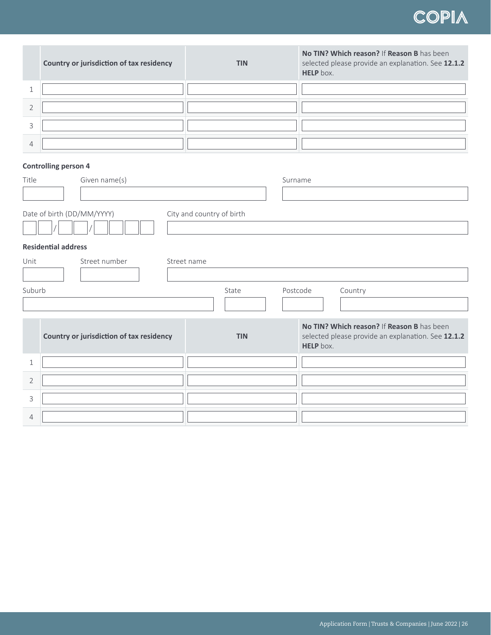| Country or jurisdiction of tax residency | <b>TIN</b> | No TIN? Which reason? If Reason B has been<br>selected please provide an explanation. See 12.1.2<br>HELP box. |
|------------------------------------------|------------|---------------------------------------------------------------------------------------------------------------|
|                                          |            |                                                                                                               |
|                                          |            |                                                                                                               |
|                                          |            |                                                                                                               |
|                                          |            |                                                                                                               |

## **Controlling person 4**

| Title          | Given name(s)                            |                           | Surname                                                                                                       |
|----------------|------------------------------------------|---------------------------|---------------------------------------------------------------------------------------------------------------|
|                |                                          |                           |                                                                                                               |
|                | Date of birth (DD/MM/YYYY)               | City and country of birth |                                                                                                               |
|                | <b>Residential address</b>               |                           |                                                                                                               |
| Unit           | Street number                            | Street name               |                                                                                                               |
|                |                                          |                           |                                                                                                               |
|                | Suburb<br>Postcode<br>State<br>Country   |                           |                                                                                                               |
|                |                                          |                           |                                                                                                               |
|                |                                          |                           |                                                                                                               |
|                | Country or jurisdiction of tax residency | <b>TIN</b>                | No TIN? Which reason? If Reason B has been<br>selected please provide an explanation. See 12.1.2<br>HELP box. |
| $\mathbf{1}$   |                                          |                           |                                                                                                               |
| $\overline{2}$ |                                          |                           |                                                                                                               |
| 3              |                                          |                           |                                                                                                               |
| $\overline{4}$ |                                          |                           |                                                                                                               |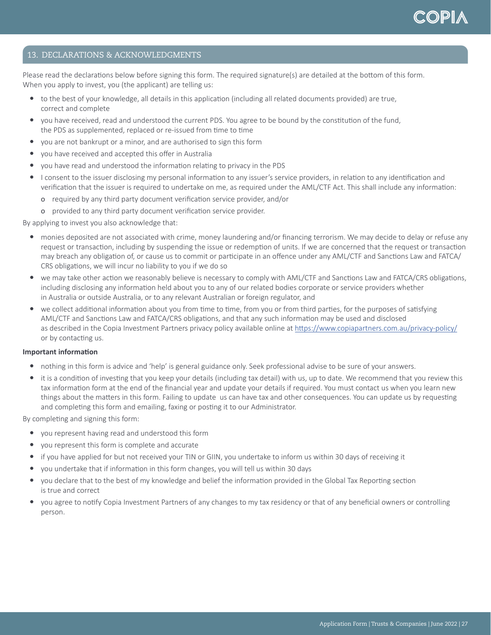## 13. DECLARATIONS & ACKNOWLEDGMENTS

Please read the declarations below before signing this form. The required signature(s) are detailed at the bottom of this form. When you apply to invest, you (the applicant) are telling us:

- to the best of your knowledge, all details in this application (including all related documents provided) are true, correct and complete
- y you have received, read and understood the current PDS. You agree to be bound by the constitution of the fund, the PDS as supplemented, replaced or re-issued from time to time
- you are not bankrupt or a minor, and are authorised to sign this form
- you have received and accepted this offer in Australia
- y you have read and understood the information relating to privacy in the PDS
- y I consent to the issuer disclosing my personal information to any issuer's service providers, in relation to any identification and verification that the issuer is required to undertake on me, as required under the AML/CTF Act. This shall include any information:
	- о required by any third party document verification service provider, and/or
	- о provided to any third party document verification service provider.

By applying to invest you also acknowledge that:

- monies deposited are not associated with crime, money laundering and/or financing terrorism. We may decide to delay or refuse any request or transaction, including by suspending the issue or redemption of units. If we are concerned that the request or transaction may breach any obligation of, or cause us to commit or participate in an offence under any AML/CTF and Sanctions Law and FATCA/ CRS obligations, we will incur no liability to you if we do so
- we may take other action we reasonably believe is necessary to comply with AML/CTF and Sanctions Law and FATCA/CRS obligations, including disclosing any information held about you to any of our related bodies corporate or service providers whether in Australia or outside Australia, or to any relevant Australian or foreign regulator, and
- we collect additional information about you from time to time, from you or from third parties, for the purposes of satisfying AML/CTF and Sanctions Law and FATCA/CRS obligations, and that any such information may be used and disclosed as described in the Copia Investment Partners privacy policy available online at [https://www.copiapartners.com.au/privacy-policy/](https://www.copiapartners.com.au/privacy-policy/ ) or by contacting us.

#### **Important information**

- nothing in this form is advice and 'help' is general guidance only. Seek professional advise to be sure of your answers.
- it is a condition of investing that you keep your details (including tax detail) with us, up to date. We recommend that you review this tax information form at the end of the financial year and update your details if required. You must contact us when you learn new things about the matters in this form. Failing to update us can have tax and other consequences. You can update us by requesting and completing this form and emailing, faxing or posting it to our Administrator.

By completing and signing this form:

- you represent having read and understood this form
- you represent this form is complete and accurate
- if you have applied for but not received your TIN or GIIN, you undertake to inform us within 30 days of receiving it
- y you undertake that if information in this form changes, you will tell us within 30 days
- you declare that to the best of my knowledge and belief the information provided in the Global Tax Reporting section is true and correct
- y you agree to notify Copia Investment Partners of any changes to my tax residency or that of any beneficial owners or controlling person.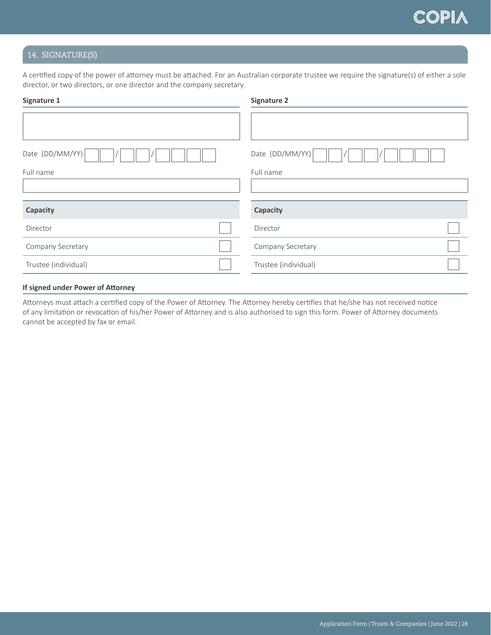## 14. SIGNATURE(S)

A certified copy of the power of attorney must be attached. For an Australian corporate trustee we require the signature(s) of either a sole director, or two directors, or one director and the company secretary.

| Signature 1          | <b>Signature 2</b>   |  |  |
|----------------------|----------------------|--|--|
|                      |                      |  |  |
| Date (DD/MM/YY)      | Date (DD/MM/YY)      |  |  |
| Full name            | Full name            |  |  |
|                      |                      |  |  |
| Capacity             | Capacity             |  |  |
| Director             | Director             |  |  |
| Company Secretary    | Company Secretary    |  |  |
| Trustee (individual) | Trustee (individual) |  |  |
|                      |                      |  |  |

#### **If signed under Power of Attorney**

Attorneys must attach a certified copy of the Power of Attorney. The Attorney hereby certifies that he/she has not received notice of any limitation or revocation of his/her Power of Attorney and is also authorised to sign this form. Power of Attorney documents cannot be accepted by fax or email.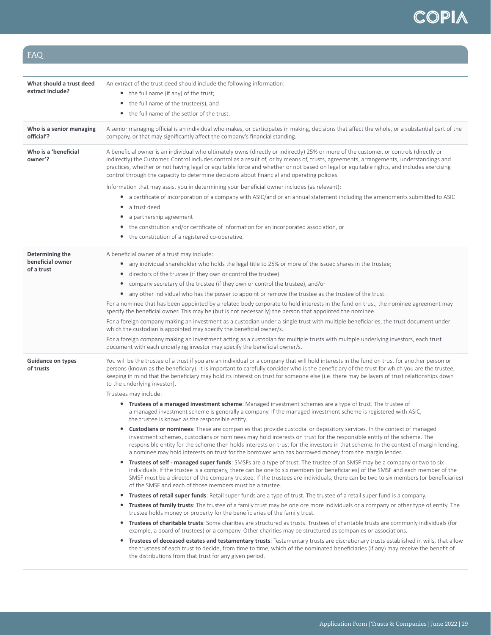## FAQ

| What should a trust deed<br>extract include?      | An extract of the trust deed should include the following information:<br>• the full name (if any) of the trust;<br>the full name of the trustee(s), and<br>$\bullet$<br>the full name of the settlor of the trust.<br>$\bullet$                                                                                                                                                                                                                                                                                                                                                                                                                                                                                                                                                                                                                                                                                   |
|---------------------------------------------------|--------------------------------------------------------------------------------------------------------------------------------------------------------------------------------------------------------------------------------------------------------------------------------------------------------------------------------------------------------------------------------------------------------------------------------------------------------------------------------------------------------------------------------------------------------------------------------------------------------------------------------------------------------------------------------------------------------------------------------------------------------------------------------------------------------------------------------------------------------------------------------------------------------------------|
| Who is a senior managing<br>official'?            | A senior managing official is an individual who makes, or participates in making, decisions that affect the whole, or a substantial part of the<br>company, or that may significantly affect the company's financial standing.                                                                                                                                                                                                                                                                                                                                                                                                                                                                                                                                                                                                                                                                                     |
| Who is a 'beneficial<br>owner'?                   | A beneficial owner is an individual who ultimately owns (directly or indirectly) 25% or more of the customer, or controls (directly or<br>indirectly) the Customer. Control includes control as a result of, or by means of, trusts, agreements, arrangements, understandings and<br>practices, whether or not having legal or equitable force and whether or not based on legal or equitable rights, and includes exercising<br>control through the capacity to determine decisions about financial and operating policies.                                                                                                                                                                                                                                                                                                                                                                                       |
|                                                   | Information that may assist you in determining your beneficial owner includes (as relevant):<br>• a certificate of incorporation of a company with ASIC/and or an annual statement including the amendments submitted to ASIC<br>a trust deed<br>٠<br>a partnership agreement<br>the constitution and/or certificate of information for an incorporated association, or<br>the constitution of a registered co-operative.<br>$\bullet$                                                                                                                                                                                                                                                                                                                                                                                                                                                                             |
| Determining the<br>beneficial owner<br>of a trust | A beneficial owner of a trust may include:<br>• any individual shareholder who holds the legal title to 25% or more of the issued shares in the trustee;<br>directors of the trustee (if they own or control the trustee)<br>$\bullet$<br>company secretary of the trustee (if they own or control the trustee), and/or<br>$\bullet$<br>• any other individual who has the power to appoint or remove the trustee as the trustee of the trust.<br>For a nominee that has been appointed by a related body corporate to hold interests in the fund on trust, the nominee agreement may<br>specify the beneficial owner. This may be (but is not necessarily) the person that appointed the nominee.<br>For a foreign company making an investment as a custodian under a single trust with multiple beneficiaries, the trust document under<br>which the custodian is appointed may specify the beneficial owner/s. |
|                                                   | For a foreign company making an investment acting as a custodian for multiple trusts with multiple underlying investors, each trust<br>document with each underlying investor may specify the beneficial owner/s.                                                                                                                                                                                                                                                                                                                                                                                                                                                                                                                                                                                                                                                                                                  |
| <b>Guidance on types</b><br>of trusts             | You will be the trustee of a trust if you are an individual or a company that will hold interests in the fund on trust for another person or<br>persons (known as the beneficiary). It is important to carefully consider who is the beneficiary of the trust for which you are the trustee,<br>keeping in mind that the beneficiary may hold its interest on trust for someone else (i.e. there may be layers of trust relationships down<br>to the underlying investor).                                                                                                                                                                                                                                                                                                                                                                                                                                         |
|                                                   | Trustees may include:<br>• Trustees of a managed investment scheme: Managed investment schemes are a type of trust. The trustee of<br>a managed investment scheme is generally a company. If the managed investment scheme is registered with ASIC,                                                                                                                                                                                                                                                                                                                                                                                                                                                                                                                                                                                                                                                                |
|                                                   | the trustee is known as the responsible entity.<br><b>Custodians or nominees</b> : These are companies that provide custodial or depository services. In the context of managed<br>investment schemes, custodians or nominees may hold interests on trust for the responsible entity of the scheme. The<br>responsible entity for the scheme then holds interests on trust for the investors in that scheme. In the context of margin lending,<br>a nominee may hold interests on trust for the borrower who has borrowed money from the margin lender.                                                                                                                                                                                                                                                                                                                                                            |
|                                                   | Trustees of self - managed super funds: SMSFs are a type of trust. The trustee of an SMSF may be a company or two to six<br>٠<br>individuals. If the trustee is a company, there can be one to six members (or beneficiaries) of the SMSF and each member of the<br>SMSF must be a director of the company trustee. If the trustees are individuals, there can be two to six members (or beneficiaries)<br>of the SMSF and each of those members must be a trustee.                                                                                                                                                                                                                                                                                                                                                                                                                                                |
|                                                   | Trustees of retail super funds: Retail super funds are a type of trust. The trustee of a retail super fund is a company.<br>$\bullet$                                                                                                                                                                                                                                                                                                                                                                                                                                                                                                                                                                                                                                                                                                                                                                              |
|                                                   | • Trustees of family trusts: The trustee of a family trust may be one ore more individuals or a company or other type of entity. The<br>trustee holds money or property for the beneficiaries of the family trust.                                                                                                                                                                                                                                                                                                                                                                                                                                                                                                                                                                                                                                                                                                 |
|                                                   | <b>Trustees of charitable trusts</b> : Some charities are structured as trusts. Trustees of charitable trusts are commonly individuals (for<br>example, a board of trustees) or a company. Other charities may be structured as companies or associations.                                                                                                                                                                                                                                                                                                                                                                                                                                                                                                                                                                                                                                                         |
|                                                   | • Trustees of deceased estates and testamentary trusts: Testamentary trusts are discretionary trusts established in wills, that allow<br>the trustees of each trust to decide, from time to time, which of the nominated beneficiaries (if any) may receive the benefit of<br>the distributions from that trust for any given period.                                                                                                                                                                                                                                                                                                                                                                                                                                                                                                                                                                              |